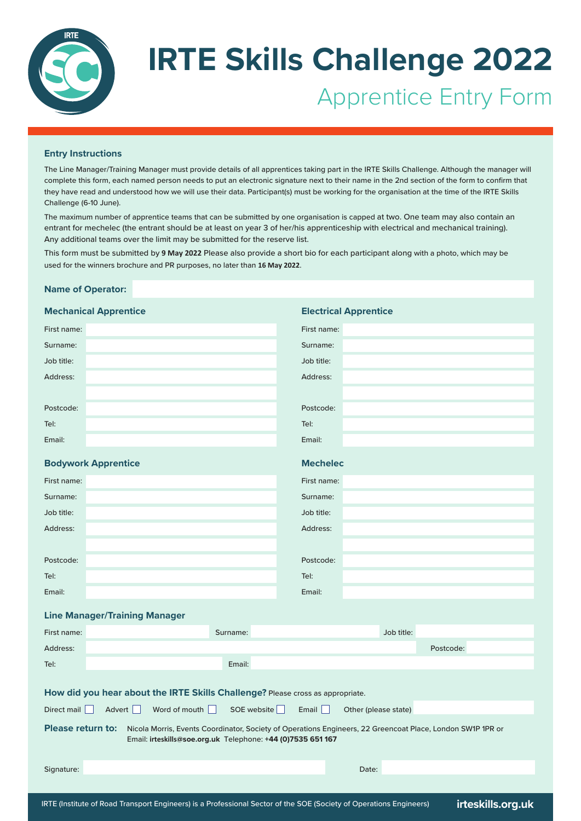

# **IRTE Skills Challenge 2022** Apprentice Entry Form

**Electrical Apprentice**

### **Entry Instructions**

The Line Manager/Training Manager must provide details of all apprentices taking part in the IRTE Skills Challenge. Although the manager will complete this form, each named person needs to put an electronic signature next to their name in the 2nd section of the form to confirm that they have read and understood how we will use their data. Participant(s) must be working for the organisation at the time of the IRTE Skills Challenge (6-10 June).

The maximum number of apprentice teams that can be submitted by one organisation is capped at two. One team may also contain an entrant for mechelec (the entrant should be at least on year 3 of her/his apprenticeship with electrical and mechanical training). Any additional teams over the limit may be submitted for the reserve list.

This form must be submitted by **9 May 2022** Please also provide a short bio for each participant along with a photo, which may be used for the winners brochure and PR purposes, no later than  $\mathbb{D}\mathbb{D}$  .  $\hskip20pt\ldots$ 

### **Name of Operator:**

### **Mechanical Apprentice**

| First name:                                                                                                                                                                                           |                                                 | First name:                   |  |
|-------------------------------------------------------------------------------------------------------------------------------------------------------------------------------------------------------|-------------------------------------------------|-------------------------------|--|
| Surname:                                                                                                                                                                                              |                                                 | Surname:                      |  |
| Job title:                                                                                                                                                                                            |                                                 | Job title:                    |  |
| Address:                                                                                                                                                                                              |                                                 | Address:                      |  |
|                                                                                                                                                                                                       |                                                 |                               |  |
| Postcode:                                                                                                                                                                                             |                                                 | Postcode:                     |  |
| Tel:                                                                                                                                                                                                  |                                                 | Tel:                          |  |
| Email:                                                                                                                                                                                                |                                                 | Email:                        |  |
|                                                                                                                                                                                                       | <b>Bodywork Apprentice</b>                      | <b>Mechelec</b>               |  |
| First name:                                                                                                                                                                                           |                                                 | First name:                   |  |
| Surname:                                                                                                                                                                                              |                                                 | Surname:                      |  |
| Job title:                                                                                                                                                                                            |                                                 | Job title:                    |  |
| Address:                                                                                                                                                                                              |                                                 | Address:                      |  |
|                                                                                                                                                                                                       |                                                 |                               |  |
| Postcode:                                                                                                                                                                                             |                                                 | Postcode:                     |  |
| Tel:                                                                                                                                                                                                  |                                                 | Tel:                          |  |
| Email:                                                                                                                                                                                                |                                                 | Email:                        |  |
|                                                                                                                                                                                                       | <b>Line Manager/Training Manager</b>            |                               |  |
| First name:                                                                                                                                                                                           | Surname:                                        | Job title:                    |  |
| Address:                                                                                                                                                                                              |                                                 | Postcode:                     |  |
| Tel:                                                                                                                                                                                                  | Email:                                          |                               |  |
|                                                                                                                                                                                                       |                                                 |                               |  |
| How did you hear about the IRTE Skills Challenge? Please cross as appropriate.                                                                                                                        |                                                 |                               |  |
| Direct mail $\ \ $                                                                                                                                                                                    | SOE website<br>Advert  <br>Word of mouth $\Box$ | Email<br>Other (please state) |  |
| <b>Please return to:</b><br>Nicola Morris, Events Coordinator, Society of Operations Engineers, 22 Greencoat Place, London SW1P 1PR or<br>Email: irteskills@soe.org.uk Telephone: +44 (0)7535 651 167 |                                                 |                               |  |
| Signature:                                                                                                                                                                                            |                                                 | Date:                         |  |
|                                                                                                                                                                                                       |                                                 |                               |  |